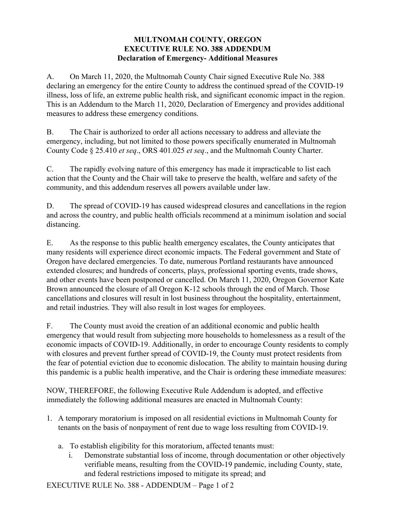## **MULTNOMAH COUNTY, OREGON EXECUTIVE RULE NO. 388 ADDENDUM Declaration of Emergency- Additional Measures**

A. On March 11, 2020, the Multnomah County Chair signed Executive Rule No. 388 declaring an emergency for the entire County to address the continued spread of the COVID-19 illness, loss of life, an extreme public health risk, and significant economic impact in the region. This is an Addendum to the March 11, 2020, Declaration of Emergency and provides additional measures to address these emergency conditions.

B. The Chair is authorized to order all actions necessary to address and alleviate the emergency, including, but not limited to those powers specifically enumerated in Multnomah County Code § 25.410 *et seq*., ORS 401.025 *et seq*., and the Multnomah County Charter.

C. The rapidly evolving nature of this emergency has made it impracticable to list each action that the County and the Chair will take to preserve the health, welfare and safety of the community, and this addendum reserves all powers available under law.

D. The spread of COVID-19 has caused widespread closures and cancellations in the region and across the country, and public health officials recommend at a minimum isolation and social distancing.

E. As the response to this public health emergency escalates, the County anticipates that many residents will experience direct economic impacts. The Federal government and State of Oregon have declared emergencies. To date, numerous Portland restaurants have announced extended closures; and hundreds of concerts, plays, professional sporting events, trade shows, and other events have been postponed or cancelled. On March 11, 2020, Oregon Governor Kate Brown announced the closure of all Oregon K-12 schools through the end of March. Those cancellations and closures will result in lost business throughout the hospitality, entertainment, and retail industries. They will also result in lost wages for employees.

F. The County must avoid the creation of an additional economic and public health emergency that would result from subjecting more households to homelessness as a result of the economic impacts of COVID-19. Additionally, in order to encourage County residents to comply with closures and prevent further spread of COVID-19, the County must protect residents from the fear of potential eviction due to economic dislocation. The ability to maintain housing during this pandemic is a public health imperative, and the Chair is ordering these immediate measures:

NOW, THEREFORE, the following Executive Rule Addendum is adopted, and effective immediately the following additional measures are enacted in Multnomah County:

- 1. A temporary moratorium is imposed on all residential evictions in Multnomah County for tenants on the basis of nonpayment of rent due to wage loss resulting from COVID-19.
	- a. To establish eligibility for this moratorium, affected tenants must:
		- i. Demonstrate substantial loss of income, through documentation or other objectively verifiable means, resulting from the COVID-19 pandemic, including County, state, and federal restrictions imposed to mitigate its spread; and

EXECUTIVE RULE No. 388 - ADDENDUM – Page 1 of 2